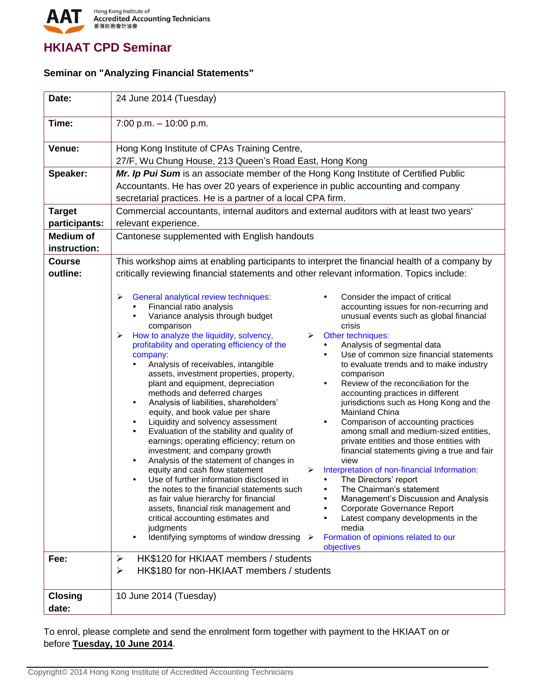

## **HKIAAT CPD Seminar**

## **Seminar on "Analyzing Financial Statements"**

| Date:                             | 24 June 2014 (Tuesday)                                                                                                                                                                                                                                                                                                                                                                                                                                                                                                                                                                                                                                                                                                                                                                                                                                                                                                                                                                                                                                                                                                                                                                                                                                                                                                                                                                                                                                                                                                                                                                                                                                                                                                                                                                                                                                                                                                                                                                                                                                                                                                                                                                                                                                                            |
|-----------------------------------|-----------------------------------------------------------------------------------------------------------------------------------------------------------------------------------------------------------------------------------------------------------------------------------------------------------------------------------------------------------------------------------------------------------------------------------------------------------------------------------------------------------------------------------------------------------------------------------------------------------------------------------------------------------------------------------------------------------------------------------------------------------------------------------------------------------------------------------------------------------------------------------------------------------------------------------------------------------------------------------------------------------------------------------------------------------------------------------------------------------------------------------------------------------------------------------------------------------------------------------------------------------------------------------------------------------------------------------------------------------------------------------------------------------------------------------------------------------------------------------------------------------------------------------------------------------------------------------------------------------------------------------------------------------------------------------------------------------------------------------------------------------------------------------------------------------------------------------------------------------------------------------------------------------------------------------------------------------------------------------------------------------------------------------------------------------------------------------------------------------------------------------------------------------------------------------------------------------------------------------------------------------------------------------|
| Time:                             | $7:00$ p.m. $-10:00$ p.m.                                                                                                                                                                                                                                                                                                                                                                                                                                                                                                                                                                                                                                                                                                                                                                                                                                                                                                                                                                                                                                                                                                                                                                                                                                                                                                                                                                                                                                                                                                                                                                                                                                                                                                                                                                                                                                                                                                                                                                                                                                                                                                                                                                                                                                                         |
| Venue:                            | Hong Kong Institute of CPAs Training Centre,<br>27/F, Wu Chung House, 213 Queen's Road East, Hong Kong                                                                                                                                                                                                                                                                                                                                                                                                                                                                                                                                                                                                                                                                                                                                                                                                                                                                                                                                                                                                                                                                                                                                                                                                                                                                                                                                                                                                                                                                                                                                                                                                                                                                                                                                                                                                                                                                                                                                                                                                                                                                                                                                                                            |
| Speaker:                          | Mr. Ip Pui Sum is an associate member of the Hong Kong Institute of Certified Public<br>Accountants. He has over 20 years of experience in public accounting and company<br>secretarial practices. He is a partner of a local CPA firm.                                                                                                                                                                                                                                                                                                                                                                                                                                                                                                                                                                                                                                                                                                                                                                                                                                                                                                                                                                                                                                                                                                                                                                                                                                                                                                                                                                                                                                                                                                                                                                                                                                                                                                                                                                                                                                                                                                                                                                                                                                           |
| <b>Target</b><br>participants:    | Commercial accountants, internal auditors and external auditors with at least two years'<br>relevant experience.                                                                                                                                                                                                                                                                                                                                                                                                                                                                                                                                                                                                                                                                                                                                                                                                                                                                                                                                                                                                                                                                                                                                                                                                                                                                                                                                                                                                                                                                                                                                                                                                                                                                                                                                                                                                                                                                                                                                                                                                                                                                                                                                                                  |
| <b>Medium of</b><br>instruction:  | Cantonese supplemented with English handouts                                                                                                                                                                                                                                                                                                                                                                                                                                                                                                                                                                                                                                                                                                                                                                                                                                                                                                                                                                                                                                                                                                                                                                                                                                                                                                                                                                                                                                                                                                                                                                                                                                                                                                                                                                                                                                                                                                                                                                                                                                                                                                                                                                                                                                      |
| <b>Course</b><br>outline:<br>Fee: | This workshop aims at enabling participants to interpret the financial health of a company by<br>critically reviewing financial statements and other relevant information. Topics include:<br>$\blacktriangleright$<br>General analytical review techniques:<br>Consider the impact of critical<br>Financial ratio analysis<br>accounting issues for non-recurring and<br>Variance analysis through budget<br>unusual events such as global financial<br>crisis<br>comparison<br>How to analyze the liquidity, solvency,<br>Other techniques:<br>➤<br>➤<br>Analysis of segmental data<br>profitability and operating efficiency of the<br>Use of common size financial statements<br>company:<br>Analysis of receivables, intangible<br>to evaluate trends and to make industry<br>assets, investment properties, property,<br>comparison<br>plant and equipment, depreciation<br>Review of the reconciliation for the<br>methods and deferred charges<br>accounting practices in different<br>Analysis of liabilities, shareholders'<br>jurisdictions such as Hong Kong and the<br>$\bullet$<br>equity, and book value per share<br>Mainland China<br>Liquidity and solvency assessment<br>Comparison of accounting practices<br>Evaluation of the stability and quality of<br>among small and medium-sized entities,<br>private entities and those entities with<br>earnings; operating efficiency; return on<br>investment; and company growth<br>financial statements giving a true and fair<br>Analysis of the statement of changes in<br>view<br>equity and cash flow statement<br>Interpretation of non-financial Information:<br>Use of further information disclosed in<br>The Directors' report<br>the notes to the financial statements such<br>The Chairman's statement<br>as fair value hierarchy for financial<br>Management's Discussion and Analysis<br>assets, financial risk management and<br>Corporate Governance Report<br>critical accounting estimates and<br>Latest company developments in the<br>media<br>judgments<br>Identifying symptoms of window dressing ≻<br>Formation of opinions related to our<br>$\bullet$<br>objectives<br>HK\$120 for HKIAAT members / students<br>$\blacktriangleright$<br>HK\$180 for non-HKIAAT members / students<br>➤ |
| <b>Closing</b><br>date:           | 10 June 2014 (Tuesday)                                                                                                                                                                                                                                                                                                                                                                                                                                                                                                                                                                                                                                                                                                                                                                                                                                                                                                                                                                                                                                                                                                                                                                                                                                                                                                                                                                                                                                                                                                                                                                                                                                                                                                                                                                                                                                                                                                                                                                                                                                                                                                                                                                                                                                                            |

To enrol, please complete and send the enrolment form together with payment to the HKIAAT on or before **Tuesday, 10 June 2014**.